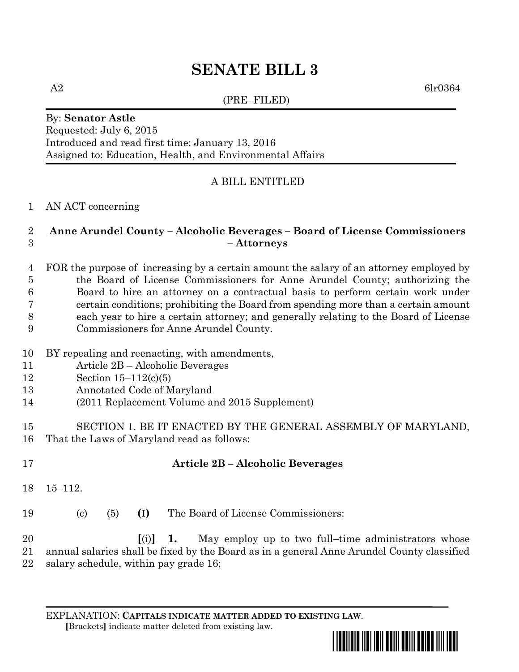# **SENATE BILL 3**

 $A2 \hspace{2.5cm} \rm{6lr0364}$ 

### (PRE–FILED)

By: **Senator Astle** Requested: July 6, 2015 Introduced and read first time: January 13, 2016 Assigned to: Education, Health, and Environmental Affairs

# A BILL ENTITLED

AN ACT concerning

### **Anne Arundel County – Alcoholic Beverages – Board of License Commissioners – Attorneys**

 FOR the purpose of increasing by a certain amount the salary of an attorney employed by the Board of License Commissioners for Anne Arundel County; authorizing the Board to hire an attorney on a contractual basis to perform certain work under certain conditions; prohibiting the Board from spending more than a certain amount each year to hire a certain attorney; and generally relating to the Board of License Commissioners for Anne Arundel County.

- BY repealing and reenacting, with amendments,
- Article 2B Alcoholic Beverages
- Section 15–112(c)(5)
- Annotated Code of Maryland
- (2011 Replacement Volume and 2015 Supplement)
- SECTION 1. BE IT ENACTED BY THE GENERAL ASSEMBLY OF MARYLAND, That the Laws of Maryland read as follows:
- 

# **Article 2B – Alcoholic Beverages**

- 15–112.
- (c) (5) **(I)** The Board of License Commissioners:

 **[**(i)**] 1.** May employ up to two full–time administrators whose annual salaries shall be fixed by the Board as in a general Anne Arundel County classified salary schedule, within pay grade 16;